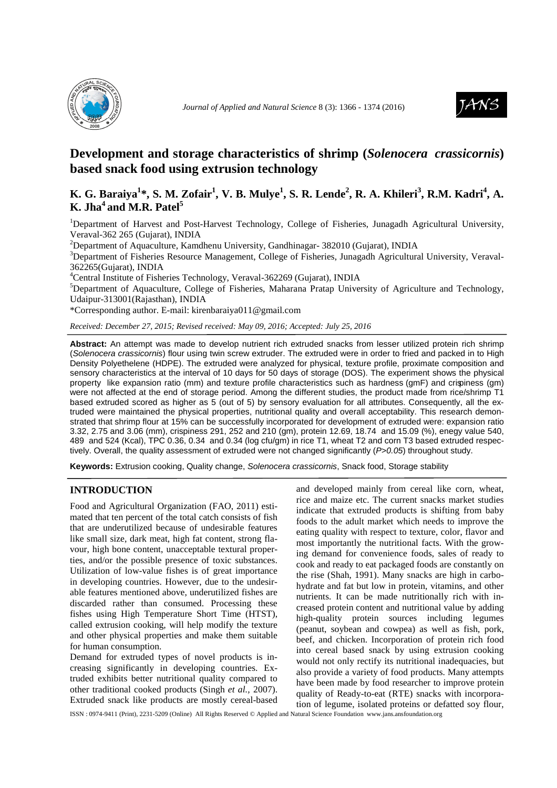



# **Development and storage characteristics of shrimp (***Solenocera crassicornis***) based snack food using extrusion technology**

## **K. G. Baraiya<sup>1</sup> \*, S. M. Zofair<sup>1</sup> , V. B. Mulye<sup>1</sup> , S. R. Lende<sup>2</sup> , R. A. Khileri<sup>3</sup> , R.M. Kadri<sup>4</sup> , A. K.** Jha<sup>4</sup>**and M.R. Patel**<sup>5</sup>

<sup>1</sup>Department of Harvest and Post-Harvest Technology, College of Fisheries, Junagadh Agricultural University, Veraval-362 265 (Gujarat), INDIA

<sup>2</sup>Department of Aquaculture, Kamdhenu University, Gandhinagar- 382010 (Gujarat), INDIA

<sup>3</sup>Department of Fisheries Resource Management, College of Fisheries, Junagadh Agricultural University, Veraval-362265(Gujarat), INDIA

<sup>4</sup>Central Institute of Fisheries Technology, Veraval-362269 (Gujarat), INDIA

 ${}^{5}$ Department of Aquaculture, College of Fisheries, Maharana Pratap University of Agriculture and Technology, Udaipur-313001(Rajasthan), INDIA

\*Corresponding author. E-mail: kirenbaraiya011@gmail.com

*Received: December 27, 2015; Revised received: May 09, 2016; Accepted: July 25, 2016*

**Abstract:** An attempt was made to develop nutrient rich extruded snacks from lesser utilized protein rich shrimp (Solenocera crassicornis) flour using twin screw extruder. The extruded were in order to fried and packed in to High Density Polyethelene (HDPE). The extruded were analyzed for physical, texture profile, proximate composition and sensory characteristics at the interval of 10 days for 50 days of storage (DOS). The experiment shows the physical property like expansion ratio (mm) and texture profile characteristics such as hardness (gmF) and crispiness (gm) were not affected at the end of storage period. Among the different studies, the product made from rice/shrimp T1 based extruded scored as higher as 5 (out of 5) by sensory evaluation for all attributes. Consequently, all the extruded were maintained the physical properties, nutritional quality and overall acceptability. This research demonstrated that shrimp flour at 15% can be successfully incorporated for development of extruded were: expansion ratio 3.32, 2.75 and 3.06 (mm), crispiness 291, 252 and 210 (gm), protein 12.69, 18.74 and 15.09 (%), enegy value 540, 489 and 524 (Kcal), TPC 0.36, 0.34 and 0.34 (log cfu/gm) in rice T1, wheat T2 and corn T3 based extruded respectively. Overall, the quality assessment of extruded were not changed significantly (P>0.05) throughout study.

**Keywords:** Extrusion cooking, Quality change, Solenocera crassicornis, Snack food, Storage stability

## **INTRODUCTION**

Food and Agricultural Organization (FAO, 2011) estimated that ten percent of the total catch consists of fish that are underutilized because of undesirable features like small size, dark meat, high fat content, strong flavour, high bone content, unacceptable textural properties, and/or the possible presence of toxic substances. Utilization of low-value fishes is of great importance in developing countries. However, due to the undesirable features mentioned above, underutilized fishes are discarded rather than consumed. Processing these fishes using High Temperature Short Time (HTST), called extrusion cooking, will help modify the texture and other physical properties and make them suitable for human consumption.

Demand for extruded types of novel products is increasing significantly in developing countries. Extruded exhibits better nutritional quality compared to other traditional cooked products (Singh *et al.,* 2007). Extruded snack like products are mostly cereal-based and developed mainly from cereal like corn, wheat, rice and maize etc. The current snacks market studies indicate that extruded products is shifting from baby foods to the adult market which needs to improve the eating quality with respect to texture, color, flavor and most importantly the nutritional facts. With the growing demand for convenience foods, sales of ready to cook and ready to eat packaged foods are constantly on the rise (Shah, 1991). Many snacks are high in carbohydrate and fat but low in protein, vitamins, and other nutrients. It can be made nutritionally rich with increased protein content and nutritional value by adding high-quality protein sources including legumes (peanut, soybean and cowpea) as well as fish, pork, beef, and chicken. Incorporation of protein rich food into cereal based snack by using extrusion cooking would not only rectify its nutritional inadequacies, but also provide a variety of food products. Many attempts have been made by food researcher to improve protein quality of Ready-to-eat (RTE) snacks with incorporation of legume, isolated proteins or defatted soy flour,

ISSN : 0974-9411 (Print), 2231-5209 (Online) All Rights Reserved © Applied and Natural Science Foundation www.jans.ansfoundation.org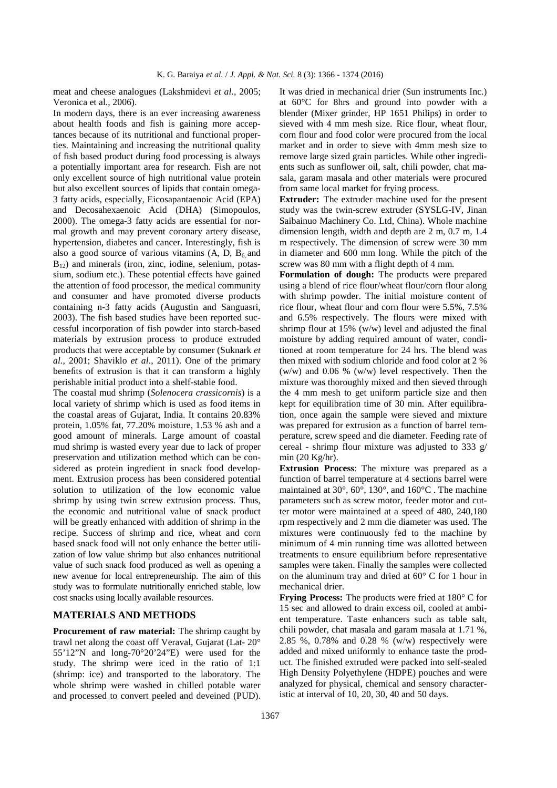meat and cheese analogues (Lakshmidevi *et al.,* 2005; Veronica et al., 2006).

In modern days, there is an ever increasing awareness about health foods and fish is gaining more acceptances because of its nutritional and functional properties. Maintaining and increasing the nutritional quality of fish based product during food processing is always a potentially important area for research. Fish are not only excellent source of high nutritional value protein but also excellent sources of lipids that contain omega-3 fatty acids, especially, Eicosapantaenoic Acid (EPA) and Decosahexaenoic Acid (DHA) (Simopoulos, 2000). The omega-3 fatty acids are essential for normal growth and may prevent coronary artery disease, hypertension, diabetes and cancer. Interestingly, fish is also a good source of various vitamins  $(A, D, B_6, A)$  $B_{12}$ ) and minerals (iron, zinc, iodine, selenium, potassium, sodium etc.). These potential effects have gained the attention of food processor, the medical community and consumer and have promoted diverse products containing n-3 fatty acids (Augustin and Sanguasri, 2003). The fish based studies have been reported successful incorporation of fish powder into starch-based materials by extrusion process to produce extruded products that were acceptable by consumer (Suknark *et al.,* 2001; Shaviklo *et al*., 2011). One of the primary benefits of extrusion is that it can transform a highly perishable initial product into a shelf-stable food.

The coastal mud shrimp (*Solenocera crassicornis*) is a local variety of shrimp which is used as food items in the coastal areas of Gujarat, India. It contains 20.83% protein, 1.05% fat, 77.20% moisture, 1.53 % ash and a good amount of minerals. Large amount of coastal mud shrimp is wasted every year due to lack of proper preservation and utilization method which can be considered as protein ingredient in snack food development. Extrusion process has been considered potential solution to utilization of the low economic value shrimp by using twin screw extrusion process. Thus, the economic and nutritional value of snack product will be greatly enhanced with addition of shrimp in the recipe. Success of shrimp and rice, wheat and corn based snack food will not only enhance the better utilization of low value shrimp but also enhances nutritional value of such snack food produced as well as opening a new avenue for local entrepreneurship. The aim of this study was to formulate nutritionally enriched stable, low cost snacks using locally available resources.

### **MATERIALS AND METHODS**

**Procurement of raw material:** The shrimp caught by trawl net along the coast off Veraval, Gujarat (Lat- 20° 55'12"N and long-70°20'24"E) were used for the study. The shrimp were iced in the ratio of 1:1 (shrimp: ice) and transported to the laboratory. The whole shrimp were washed in chilled potable water and processed to convert peeled and deveined (PUD).

It was dried in mechanical drier (Sun instruments Inc.) at 60°C for 8hrs and ground into powder with a blender (Mixer grinder, HP 1651 Philips) in order to sieved with 4 mm mesh size. Rice flour, wheat flour, corn flour and food color were procured from the local market and in order to sieve with 4mm mesh size to remove large sized grain particles. While other ingredients such as sunflower oil, salt, chili powder, chat masala, garam masala and other materials were procured from same local market for frying process.

**Extruder:** The extruder machine used for the present study was the twin-screw extruder (SYSLG-IV, Jinan Saibainuo Machinery Co. Ltd, China). Whole machine dimension length, width and depth are 2 m, 0.7 m, 1.4 m respectively. The dimension of screw were 30 mm in diameter and 600 mm long. While the pitch of the screw was 80 mm with a flight depth of 4 mm.

**Formulation of dough:** The products were prepared using a blend of rice flour/wheat flour/corn flour along with shrimp powder. The initial moisture content of rice flour, wheat flour and corn flour were 5.5%, 7.5% and 6.5% respectively. The flours were mixed with shrimp flour at  $15\%$  (w/w) level and adjusted the final moisture by adding required amount of water, conditioned at room temperature for 24 hrs. The blend was then mixed with sodium chloride and food color at 2 % (w/w) and 0.06 % (w/w) level respectively. Then the mixture was thoroughly mixed and then sieved through the 4 mm mesh to get uniform particle size and then kept for equilibration time of 30 min. After equilibration, once again the sample were sieved and mixture was prepared for extrusion as a function of barrel temperature, screw speed and die diameter. Feeding rate of cereal - shrimp flour mixture was adjusted to 333 g/ min (20 Kg/hr).

**Extrusion Process**: The mixture was prepared as a function of barrel temperature at 4 sections barrel were maintained at 30°, 60°, 130°, and 160°C . The machine parameters such as screw motor, feeder motor and cutter motor were maintained at a speed of 480, 240,180 rpm respectively and 2 mm die diameter was used. The mixtures were continuously fed to the machine by minimum of 4 min running time was allotted between treatments to ensure equilibrium before representative samples were taken. Finally the samples were collected on the aluminum tray and dried at 60° C for 1 hour in mechanical drier.

**Frying Process:** The products were fried at 180° C for 15 sec and allowed to drain excess oil, cooled at ambient temperature. Taste enhancers such as table salt, chili powder, chat masala and garam masala at 1.71 %, 2.85 %, 0.78% and 0.28 % (w/w) respectively were added and mixed uniformly to enhance taste the product. The finished extruded were packed into self-sealed High Density Polyethylene (HDPE) pouches and were analyzed for physical, chemical and sensory characteristic at interval of 10, 20, 30, 40 and 50 days.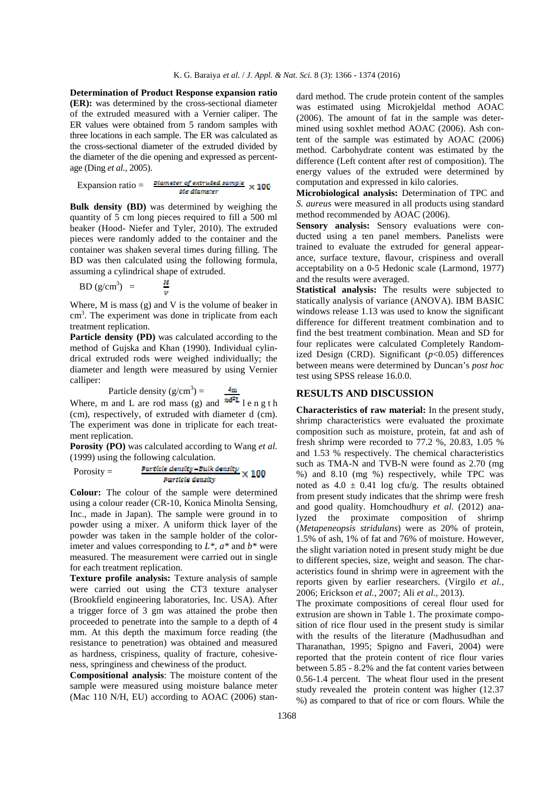**Determination of Product Response expansion ratio (ER):** was determined by the cross-sectional diameter of the extruded measured with a Vernier caliper. The ER values were obtained from 5 random samples with three locations in each sample. The ER was calculated as the cross-sectional diameter of the extruded divided by the diameter of the die opening and expressed as percentage (Ding *et al.,* 2005).

$$
Expansion ratio = \frac{Diameter\ of\ extruded\ sample}{Bie\ diameter} \times 100
$$

**Bulk density (BD)** was determined by weighing the quantity of 5 cm long pieces required to fill a 500 ml beaker (Hood- Niefer and Tyler, 2010). The extruded pieces were randomly added to the container and the container was shaken several times during filling. The BD was then calculated using the following formula, assuming a cylindrical shape of extruded.

$$
BD (g/cm3) = \frac{M}{V}
$$

Where, M is mass (g) and V is the volume of beaker in cm<sup>3</sup>. The experiment was done in triplicate from each treatment replication.

Particle density (PD) was calculated according to the method of Gujska and Khan (1990). Individual cylindrical extruded rods were weighed individually; the diameter and length were measured by using Vernier calliper:

$$
Particle density (g/cm3) = 4
$$

Where, m and L are rod mass (g) and  $\mathbb{R}^{n+1}$  length (cm), respectively, of extruded with diameter d (cm). The experiment was done in triplicate for each treatment replication.

**Porosity (PO)** was calculated according to Wang *et al.*  (1999) using the following calculation.

$$
Porosity = \frac{Particle density - Bulk density}{Particle density} \times 100
$$

**Colour:** The colour of the sample were determined using a colour reader (CR-10, Konica Minolta Sensing, Inc., made in Japan). The sample were ground in to powder using a mixer. A uniform thick layer of the powder was taken in the sample holder of the colorimeter and values corresponding to *L\**, *a\** and *b\** were measured. The measurement were carried out in single for each treatment replication.

**Texture profile analysis:** Texture analysis of sample were carried out using the CT3 texture analyser (Brookfield engineering laboratories, Inc. USA). After a trigger force of 3 gm was attained the probe then proceeded to penetrate into the sample to a depth of 4 mm. At this depth the maximum force reading (the resistance to penetration) was obtained and measured as hardness, crispiness, quality of fracture, cohesiveness, springiness and chewiness of the product.

**Compositional analysis**: The moisture content of the sample were measured using moisture balance meter (Mac 110 N/H, EU) according to AOAC (2006) standard method. The crude protein content of the samples was estimated using Microkjeldal method AOAC (2006). The amount of fat in the sample was determined using soxhlet method AOAC (2006). Ash content of the sample was estimated by AOAC (2006) method. Carbohydrate content was estimated by the difference (Left content after rest of composition). The energy values of the extruded were determined by computation and expressed in kilo calories.

**Microbiological analysis:** Determination of TPC and *S. aureus* were measured in all products using standard method recommended by AOAC (2006).

**Sensory analysis:** Sensory evaluations were conducted using a ten panel members. Panelists were trained to evaluate the extruded for general appearance, surface texture, flavour, crispiness and overall acceptability on a 0-5 Hedonic scale (Larmond, 1977) and the results were averaged.

**Statistical analysis:** The results were subjected to statically analysis of variance (ANOVA). IBM BASIC windows release 1.13 was used to know the significant difference for different treatment combination and to find the best treatment combination. Mean and SD for four replicates were calculated Completely Randomized Design (CRD). Significant (*p*<0.05) differences between means were determined by Duncan's *post hoc* test using SPSS release 16.0.0.

#### **RESULTS AND DISCUSSION**

**Characteristics of raw material:** In the present study, shrimp characteristics were evaluated the proximate composition such as moisture, protein, fat and ash of fresh shrimp were recorded to 77.2 %, 20.83, 1.05 % and 1.53 % respectively. The chemical characteristics such as TMA-N and TVB-N were found as 2.70 (mg %) and 8.10 (mg %) respectively, while TPC was noted as  $4.0 \pm 0.41$  log cfu/g. The results obtained from present study indicates that the shrimp were fresh and good quality. Homchoudhury *et al.* (2012) analyzed the proximate composition of shrimp (*Metapeneopsis stridulans*) were as 20% of protein, 1.5% of ash, 1% of fat and 76% of moisture. However, the slight variation noted in present study might be due to different species, size, weight and season. The characteristics found in shrimp were in agreement with the reports given by earlier researchers. (Virgilo *et al.,* 2006; Erickson *et al.,* 2007; Ali *et al.,* 2013).

The proximate compositions of cereal flour used for extrusion are shown in Table 1. The proximate composition of rice flour used in the present study is similar with the results of the literature (Madhusudhan and Tharanathan, 1995; Spigno and Faveri, 2004) were reported that the protein content of rice flour varies between 5.85 - 8.2% and the fat content varies between 0.56-1.4 percent. The wheat flour used in the present study revealed the protein content was higher (12.37 %) as compared to that of rice or corn flours. While the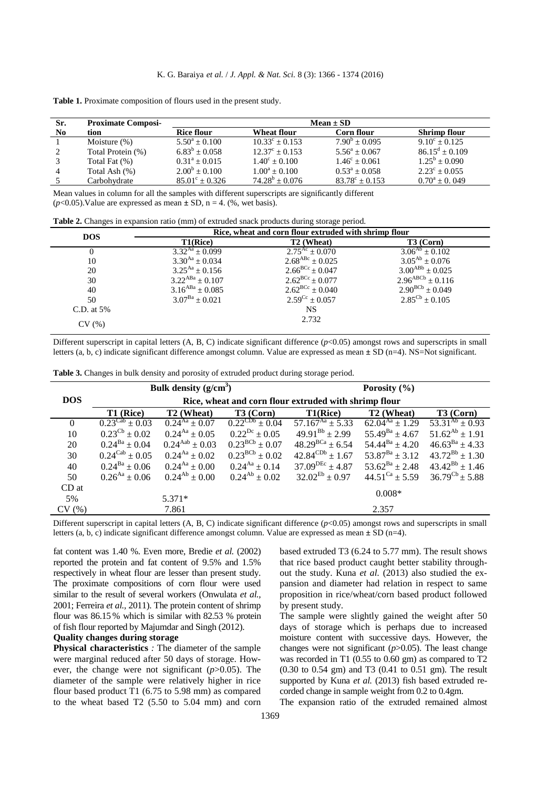| Sr. | <b>Proximate Composi-</b> |                         |                         | $Mean \pm SD$             |                        |
|-----|---------------------------|-------------------------|-------------------------|---------------------------|------------------------|
| No  | tion                      | <b>Rice flour</b>       | Wheat flour             | Corn flour                | <b>Shrimp flour</b>    |
|     | Moisture $(\%)$           | $5.50^a + 0.100$        | $10.33^{\circ} + 0.153$ | $7.90^b + 0.095$          | $9.10^{\circ} + 0.125$ |
|     | Total Protein (%)         | $6.83^b + 0.058$        | $12.37^{\circ} + 0.153$ | $5.56^a + 0.067$          | $86.15^d \pm 0.109$    |
|     | Total Fat (%)             | $0.31^a + 0.015$        | $1.40^{\circ} + 0.100$  | $1.46^{\circ} + 0.061$    | $1.25^{\rm b} + 0.090$ |
| 4   | Total Ash (%)             | $2.00^{\rm b} + 0.100$  | $1.00^a + 0.100$        | $0.53^a + 0.058$          | $2.23^{\circ}$ + 0.055 |
|     | Carbohvdrate              | $85.01^{\circ} + 0.326$ | $74.28^b + 0.076$       | $83.78^{\circ} \pm 0.153$ | $0.70^a + 0.049$       |

Table 1. Proximate composition of flours used in the present study.

Mean values in column for all the samples with different superscripts are significantly different  $(p<0.05)$ . Value are expressed as mean  $\pm$  SD, n = 4. (%, wet basis).

|  | <b>Table 2.</b> Changes in expansion ratio (mm) of extruded snack products during storage period. |  |  |  |
|--|---------------------------------------------------------------------------------------------------|--|--|--|
|  |                                                                                                   |  |  |  |
|  |                                                                                                   |  |  |  |

| <b>DOS</b>   |                       | Rice, wheat and corn flour extruded with shrimp flour |                                         |
|--------------|-----------------------|-------------------------------------------------------|-----------------------------------------|
|              | T1(Rice)              | T <sub>2</sub> (Wheat)                                | $T3$ (Corn)                             |
|              | $3.32^{Aa} + 0.099$   | $2.75^{\text{Ac}} \pm 0.070$                          | $\overline{3.06}^{\text{Ab}} \pm 0.102$ |
| 10           | $3.30^{Aa} \pm 0.034$ | $2.68^{ABC} \pm 0.025$                                | $3.05^{Ab} \pm 0.076$                   |
| 20           | $3.25^{Aa} + 0.156$   | $2.66^{\text{BCc}} \pm 0.047$                         | $3.00^{ABb} \pm 0.025$                  |
| 30           | $3.22^{ABa} + 0.107$  | $2.62^{\text{BCc}} \pm 0.077$                         | $2.96^{ABCb} \pm 0.116$                 |
| 40           | $3.16^{ABa} + 0.085$  | $2.62^{\text{BCc}} \pm 0.040$                         | $2.90^{BCb} \pm 0.049$                  |
| 50           | $3.07^{Ba} \pm 0.021$ | $2.59^{\text{Cc}} \pm 0.057$                          | $2.85^{\text{Cb}} + 0.105$              |
| C.D. at $5%$ |                       | <b>NS</b>                                             |                                         |
| CV (%)       |                       | 2.732                                                 |                                         |

Different superscript in capital letters (A, B, C) indicate significant difference (*p*<0.05) amongst rows and superscripts in small letters (a, b, c) indicate significant difference amongst column. Value are expressed as mean **±** SD (n=4). NS=Not significant.

Table 3. Changes in bulk density and porosity of extruded product during storage period.

|                  |                                         | Bulk density $(g/cm^3)$      |                                         |                                                       | Porosity $(\% )$           |                              |
|------------------|-----------------------------------------|------------------------------|-----------------------------------------|-------------------------------------------------------|----------------------------|------------------------------|
| <b>DOS</b>       |                                         |                              |                                         | Rice, wheat and corn flour extruded with shrimp flour |                            |                              |
|                  | T1 (Rice)                               | T <sub>2</sub> (Wheat)       | T3 (Corn)                               | T1(Rice)                                              | T <sub>2</sub> (Wheat)     | T3 (Corn)                    |
| $\theta$         | $\overline{0.23}^{\text{Cab}} \pm 0.03$ | $0.24^{Aa} \pm 0.07$         | $\overline{0.22^{\text{CDb}}} \pm 0.04$ | $\overline{57.167}^{\text{Aa}} \pm 5.33$              | $62.04^{Aa} \pm 1.29$      | $53.31^{Ab} \pm 0.93$        |
| 10               | $0.23^{\text{Cb}} \pm 0.02$             | $0.24^{Aa} \pm 0.05$         | $0.22^{Dc} \pm 0.05$                    | $49.91^{Bb} \pm 2.99$                                 | $55.49^{Ba} \pm 4.67$      | $51.62^{Ab} \pm 1.91$        |
| 20               | $0.24^{Ba} \pm 0.04$                    | $0.24^{\text{Aab}} \pm 0.03$ | $0.23^{BCb} \pm 0.07$                   | $48.29^{BCa} + 6.54$                                  | $54.44^{Ba}$ ± 4.20        | $46.63^{Ba}$ + 4.33          |
| 30               | $0.24^{\text{Cab}} \pm 0.05$            | $0.24^{Aa} \pm 0.02$         | $0.23^{BCb} \pm 0.02$                   | $42.84^{\text{CDb}} \pm 1.67$                         | $53.87^{Ba} \pm 3.12$      | $43.72^{Bb} \pm 1.30$        |
| 40               | $0.24^{Ba} \pm 0.06$                    | $0.24^{Aa} \pm 0.00$         | $0.24^{Aa} \pm 0.14$                    | $37.09^{DEC} + 4.87$                                  | $53.62^{Ba} \pm 2.48$      | $43.42^{Bb} \pm 1.46$        |
| 50               | $0.26^{Aa} + 0.06$                      | $0.24^{Ab} \pm 0.00$         | $0.24^{Ab} \pm 0.02$                    | $32.02^{Eb} \pm 0.97$                                 | $44.51^{\text{Ca}} + 5.59$ | $36.79^{\text{Cb}} \pm 5.88$ |
| CD <sub>at</sub> |                                         |                              |                                         |                                                       |                            |                              |
| 5%               |                                         | $5.371*$                     |                                         |                                                       | $0.008*$                   |                              |
| CV(%)            |                                         | 7.861                        |                                         |                                                       | 2.357                      |                              |
|                  |                                         |                              |                                         |                                                       |                            |                              |

Different superscript in capital letters (A, B, C) indicate significant difference (*p*<0.05) amongst rows and superscripts in small letters (a, b, c) indicate significant difference amongst column. Value are expressed as mean **±** SD (n=4).

fat content was 1.40 %. Even more, Bredie *et al.* (2002) reported the protein and fat content of 9.5% and 1.5% respectively in wheat flour are lesser than present study. The proximate compositions of corn flour were used similar to the result of several workers (Onwulata *et al.,* 2001; Ferreira *et al.,* 2011). The protein content of shrimp flour was 86.15 % which is similar with 82.53 % protein of fish flour reported by Majumdar and Singh (2012).

#### **Quality changes during storage**

**Physical characteristics** *:* The diameter of the sample were marginal reduced after 50 days of storage. However, the change were not significant  $(p>0.05)$ . The diameter of the sample were relatively higher in rice flour based product T1 (6.75 to 5.98 mm) as compared to the wheat based T2 (5.50 to 5.04 mm) and corn

based extruded T3 (6.24 to 5.77 mm). The result shows that rice based product caught better stability throughout the study. Kuna *et al.* (2013) also studied the expansion and diameter had relation in respect to same proposition in rice/wheat/corn based product followed by present study.

The sample were slightly gained the weight after 50 days of storage which is perhaps due to increased moisture content with successive days. However, the changes were not significant  $(p>0.05)$ . The least change was recorded in T1 (0.55 to 0.60 gm) as compared to T2 (0.30 to 0.54 gm) and T3 (0.41 to 0.51 gm). The result supported by Kuna *et al.* (2013) fish based extruded recorded change in sample weight from 0.2 to 0.4gm.

The expansion ratio of the extruded remained almost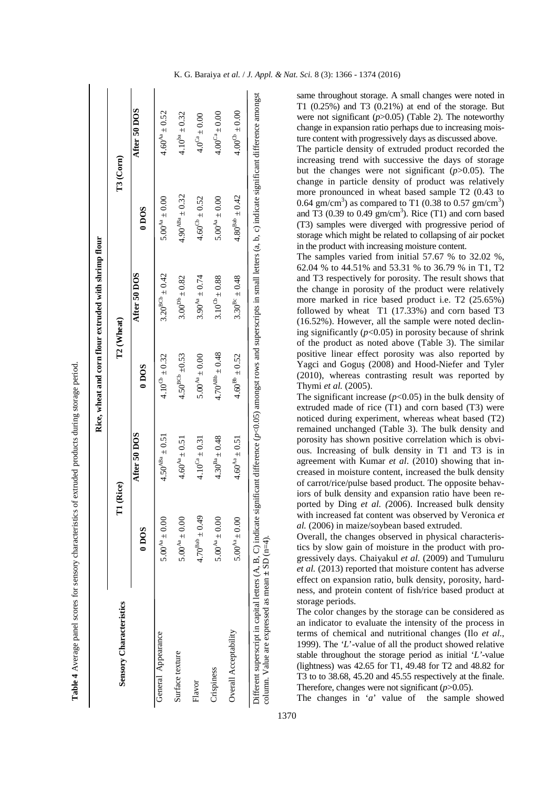|                                                                                                                                                                                                    |                       |                       | Rice, wheat and corn flour extruded with shrimp flour |                       |                          |                      |
|----------------------------------------------------------------------------------------------------------------------------------------------------------------------------------------------------|-----------------------|-----------------------|-------------------------------------------------------|-----------------------|--------------------------|----------------------|
| <b>Sensory Characteristics</b>                                                                                                                                                                     | F                     | (Rice)                | T <sub>2</sub> (Wheat)                                |                       |                          | T3 (Corn)            |
|                                                                                                                                                                                                    | 0 <sub>DOS</sub>      | After 50 DOS          | $0\,\mathrm{DOS}$                                     | After 50 DOS          | $0\,\mathrm{DOS}$        | After 50 DOS         |
| General Appearance                                                                                                                                                                                 | $5.00^{4a} \pm 0.00$  | $4.50^{ABa} \pm 0.51$ | $4.10^{CD} \pm 0.32$                                  | $3.20^{BCb} \pm 0.42$ | $5.00^{Aa} \pm 0.00$     | $4.60^{4a} \pm 0.52$ |
| Surface texture                                                                                                                                                                                    | $5.00^{4a} \pm 0.00$  | $4.60^{4a} \pm 0.51$  | $4.50^{BCb} \pm 0.53$                                 | $3.00^{Db} \pm 0.82$  | $4.90^{ABa} \pm 0.32$    | $4.10^{ba} \pm 0.32$ |
| Flavor                                                                                                                                                                                             | $4.70^{Bab} \pm 0.49$ | $4.10^{Ca} \pm 0.31$  | $5.00^{4a} \pm 0.00$                                  | $3.90^{Aa} \pm 0.74$  | $4.60^{\rm Ch} \pm 0.52$ | $4.0^{Ca} \pm 0.00$  |
| Crispiness                                                                                                                                                                                         | $5.00^{Aa} \pm 0.00$  | $4.30^{Ba} \pm 0.48$  | $4.70^{ABb} \pm 0.48$                                 | $3.10^{Cb} \pm 0.88$  | $5.00^{Aa} \pm 0.00$     | $4.00^{Ca} \pm 0.00$ |
| Overall Acceptability                                                                                                                                                                              | $5.00^{4a} \pm 0.00$  | $4.60^{Aa} \pm 0.51$  | $4.60^{Bb} \pm 0.52$                                  | $3.30^{Bc} \pm 0.48$  | $4.80^{Bab} \pm 0.42$    | $4.00^{Cb} \pm 0.00$ |
| Different superscript in capital letters $(A, B, C)$ indicate significant difference $(p<0.05)$ amongst rows and superscripts in small letters $(a, b, c)$ indicate significant difference amongst |                       |                       |                                                       |                       |                          |                      |

**Table 4** Average panel scores for sensory characteristics of extruded products during storage period. Table 4 Average panel scores for sensory characteristics of extruded products during storage period.

K. G. Baraiya *et al.* / *J. Appl. & Nat. Sci.* 8 (3): 1366 - 1374 (2016)

same throughout storage. A small changes were noted in T1 (0.25%) and T3 (0.21%) at end of the storage. But were not significant  $(p>0.05)$  (Table 2). The noteworthy change in expansion ratio perhaps due to increasing moisture content with progressively days as discussed above.

The particle density of extruded product recorded the increasing trend with successive the days of storage but the changes were not significant (*p*>0.05). The change in particle density of product was relatively more pronounced in wheat based sample T2 (0.43 to 0.64 gm/cm<sup>3</sup>) as compared to T1 (0.38 to 0.57 gm/cm<sup>3</sup>) and T3 (0.39 to 0.49  $\text{gm/cm}^3$ ). Rice (T1) and corn based (T3) samples were diverged with progressive period of storage which might be related to collapsing of air pocket in the product with increasing moisture content.

The samples varied from initial 57.67 % to 32.02 %, 62.04 % to 44.51% and 53.31 % to 36.79 % in T1, T2 and T3 respectively for porosity. The result shows that the change in porosity of the product were relatively more marked in rice based product i.e. T2 (25.65%) followed by wheat T1 (17.33%) and corn based T3 (16.52%). However, all the sample were noted declining significantly  $(p<0.05)$  in porosity because of shrink of the product as noted above (Table 3). The similar positive linear effect porosity was also reported by Yagci and Goguş (2008) and Hood-Niefer and Tyler (2010), whereas contrasting result was reported by Thymi *et al.* (2005).

The significant increase  $(p<0.05)$  in the bulk density of extruded made of rice  $(T1)$  and corn based  $(T3)$  were noticed during experiment, whereas wheat based (T2) remained unchanged (Table 3). The bulk density and porosity has shown positive correlation which is obvious. Increasing of bulk density in T1 and T3 is in agreement with Kumar *et al*. (2010) showing that increased in moisture content, increased the bulk density of carrot/rice/pulse based product. The opposite behaviors of bulk density and expansion ratio have been reported by Ding *et al. (*2006). Increased bulk density with increased fat content was observed by Veronica *et al.* (2006) in maize/soybean based extruded.

Overall, the changes observed in physical characteristics by slow gain of moisture in the product with progressively days. Chaiyakul *et al.* (2009) and Tumuluru *et al.* (2013) reported that moisture content has adverse effect on expansion ratio, bulk density, porosity, hardness, and protein content of fish/rice based product at storage periods.

The color changes by the storage can be considered as an indicator to evaluate the intensity of the process in terms of chemical and nutritional changes (Ilo *et al.*, 1999). The *'L*'-value of all the product showed relative stable throughout the storage period as initial '*L'*-value (lightness) was 42.65 for T1, 49.48 for T2 and 48.82 for T3 to to 38.68, 45.20 and 45.55 respectively at the finale. Therefore, changes were not significant (*p*>0.05).

The changes in '*a*' value of the sample showed

column. Value are expressed as mean **±** SD (n=4).

column. Value are expressed as mean  $\pm$  SD (n=4).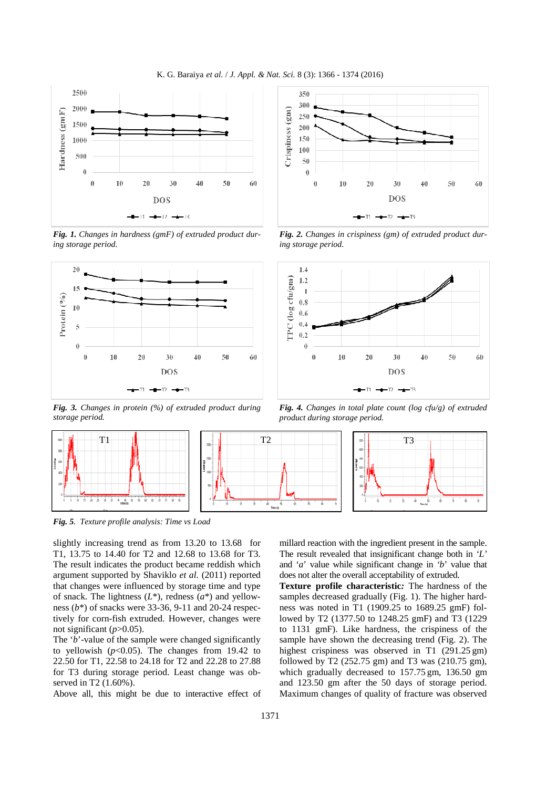K. G. Baraiya *et al.* / *J. Appl. & Nat. Sci.* 8 (3): 1366 - 1374 (2016)



*Fig. 1. Changes in hardness (gmF) of extruded product during storage period.* 



*Fig. 3. Changes in protein (%) of extruded product during storage period.* 



*Fig. 2. Changes in crispiness (gm) of extruded product during storage period.* 



*Fig. 4. Changes in total plate count (log cfu/g) of extruded product during storage period.* 



*Fig. 5. Texture profile analysis: Time vs Load* 

slightly increasing trend as from 13.20 to 13.68 for T1, 13.75 to 14.40 for T2 and 12.68 to 13.68 for T3. The result indicates the product became reddish which argument supported by Shaviklo *et al.* (2011) reported that changes were influenced by storage time and type of snack. The lightness (*L*\*), redness (*a*\*) and yellowness (*b*\*) of snacks were 33-36, 9-11 and 20-24 respectively for corn-fish extruded. However, changes were not significant  $(p>0.05)$ .

The '*b*'-value of the sample were changed significantly to yellowish  $(p<0.05)$ . The changes from 19.42 to 22.50 for T1, 22.58 to 24.18 for T2 and 22.28 to 27.88 for T3 during storage period. Least change was observed in T2 (1.60%).

Above all, this might be due to interactive effect of

millard reaction with the ingredient present in the sample. The result revealed that insignificant change both in *'L'* and '*a*' value while significant change in *'b*' value that does not alter the overall acceptability of extruded.

**Texture profile characteristic***:* The hardness of the samples decreased gradually (Fig. 1). The higher hardness was noted in T1 (1909.25 to 1689.25 gmF) followed by T2 (1377.50 to 1248.25 gmF) and T3 (1229 to 1131 gmF). Like hardness, the crispiness of the sample have shown the decreasing trend (Fig. 2). The highest crispiness was observed in T1 (291.25 gm) followed by T2 (252.75 gm) and T3 was (210.75 gm), which gradually decreased to 157.75 gm, 136.50 gm and 123.50 gm after the 50 days of storage period. Maximum changes of quality of fracture was observed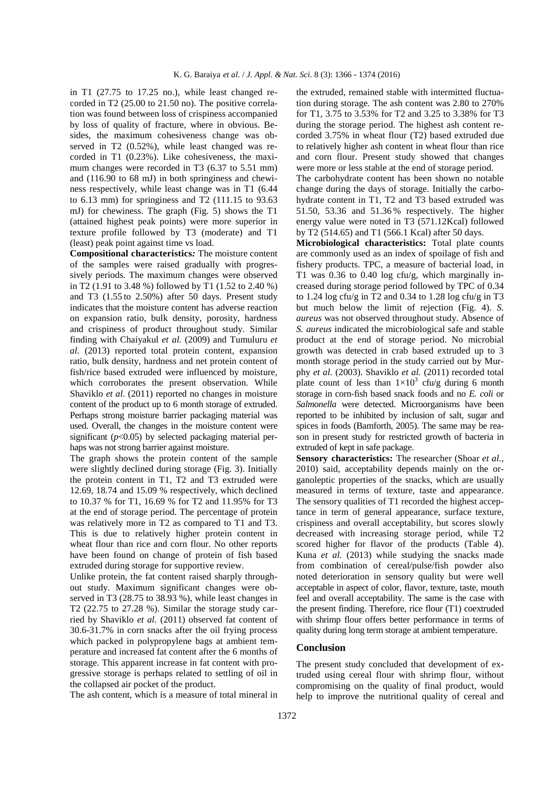in T1 (27.75 to 17.25 no.), while least changed recorded in T2 (25.00 to 21.50 no). The positive correlation was found between loss of crispiness accompanied by loss of quality of fracture, where in obvious. Besides, the maximum cohesiveness change was observed in T2 (0.52%), while least changed was recorded in T1 (0.23%). Like cohesiveness, the maximum changes were recorded in T3 (6.37 to 5.51 mm) and (116.90 to 68 mJ) in both springiness and chewiness respectively, while least change was in T1 (6.44 to 6.13 mm) for springiness and  $T2$  (111.15 to 93.63) mJ) for chewiness. The graph (Fig. 5) shows the T1 (attained highest peak points) were more superior in texture profile followed by T3 (moderate) and T1 (least) peak point against time vs load.

**Compositional characteristics***:* The moisture content of the samples were raised gradually with progressively periods. The maximum changes were observed in T2 (1.91 to 3.48 %) followed by T1 (1.52 to 2.40 %) and T3 (1.55 to 2.50%) after 50 days. Present study indicates that the moisture content has adverse reaction on expansion ratio, bulk density, porosity, hardness and crispiness of product throughout study. Similar finding with Chaiyakul *et al.* (2009) and Tumuluru *et al.* (2013) reported total protein content, expansion ratio, bulk density, hardness and net protein content of fish/rice based extruded were influenced by moisture, which corroborates the present observation. While Shaviklo *et al.* (2011) reported no changes in moisture content of the product up to 6 month storage of extruded. Perhaps strong moisture barrier packaging material was used. Overall, the changes in the moisture content were significant  $(p<0.05)$  by selected packaging material perhaps was not strong barrier against moisture.

The graph shows the protein content of the sample were slightly declined during storage (Fig. 3). Initially the protein content in T1, T2 and T3 extruded were 12.69, 18.74 and 15.09 % respectively, which declined to 10.37 % for T1, 16.69 % for T2 and 11.95% for T3 at the end of storage period. The percentage of protein was relatively more in T2 as compared to T1 and T3. This is due to relatively higher protein content in wheat flour than rice and corn flour. No other reports have been found on change of protein of fish based extruded during storage for supportive review.

Unlike protein, the fat content raised sharply throughout study. Maximum significant changes were observed in T3 (28.75 to 38.93 %), while least changes in T2 (22.75 to 27.28 %). Similar the storage study carried by Shaviklo *et al.* (2011) observed fat content of 30.6-31.7% in corn snacks after the oil frying process which packed in polypropylene bags at ambient temperature and increased fat content after the 6 months of storage. This apparent increase in fat content with progressive storage is perhaps related to settling of oil in the collapsed air pocket of the product.

The ash content, which is a measure of total mineral in

the extruded, remained stable with intermitted fluctuation during storage. The ash content was 2.80 to 270% for T1, 3.75 to 3.53% for T2 and 3.25 to 3.38% for T3 during the storage period. The highest ash content recorded 3.75% in wheat flour (T2) based extruded due to relatively higher ash content in wheat flour than rice and corn flour. Present study showed that changes were more or less stable at the end of storage period.

The carbohydrate content has been shown no notable change during the days of storage. Initially the carbohydrate content in T1, T2 and T3 based extruded was 51.50, 53.36 and 51.36 % respectively. The higher energy value were noted in T3 (571.12Kcal) followed by T2 (514.65) and T1 (566.1 Kcal) after 50 days.

**Microbiological characteristics:** Total plate counts are commonly used as an index of spoilage of fish and fishery products. TPC, a measure of bacterial load, in T1 was 0.36 to 0.40 log cfu/g, which marginally increased during storage period followed by TPC of 0.34 to 1.24 log cfu/g in T2 and 0.34 to 1.28 log cfu/g in T3 but much below the limit of rejection (Fig. 4). *S. aureus* was not observed throughout study. Absence of *S. aureus* indicated the microbiological safe and stable product at the end of storage period. No microbial growth was detected in crab based extruded up to 3 month storage period in the study carried out by Murphy *et al.* (2003). Shaviklo *et al.* (2011) recorded total plate count of less than  $1 \times 10^3$  cfu/g during 6 month storage in corn-fish based snack foods and no *E. coli* or *Salmonella* were detected. Microorganisms have been reported to be inhibited by inclusion of salt, sugar and spices in foods (Bamforth, 2005). The same may be reason in present study for restricted growth of bacteria in extruded of kept in safe package.

**Sensory characteristics:** The researcher (Shoar *et al.,* 2010) said, acceptability depends mainly on the organoleptic properties of the snacks, which are usually measured in terms of texture, taste and appearance. The sensory qualities of T1 recorded the highest acceptance in term of general appearance, surface texture, crispiness and overall acceptability, but scores slowly decreased with increasing storage period, while T2 scored higher for flavor of the products (Table 4). Kuna *et al.* (2013) while studying the snacks made from combination of cereal/pulse/fish powder also noted deterioration in sensory quality but were well acceptable in aspect of color, flavor, texture, taste, mouth feel and overall acceptability. The same is the case with the present finding. Therefore, rice flour (T1) coextruded with shrimp flour offers better performance in terms of quality during long term storage at ambient temperature.

#### **Conclusion**

The present study concluded that development of extruded using cereal flour with shrimp flour, without compromising on the quality of final product, would help to improve the nutritional quality of cereal and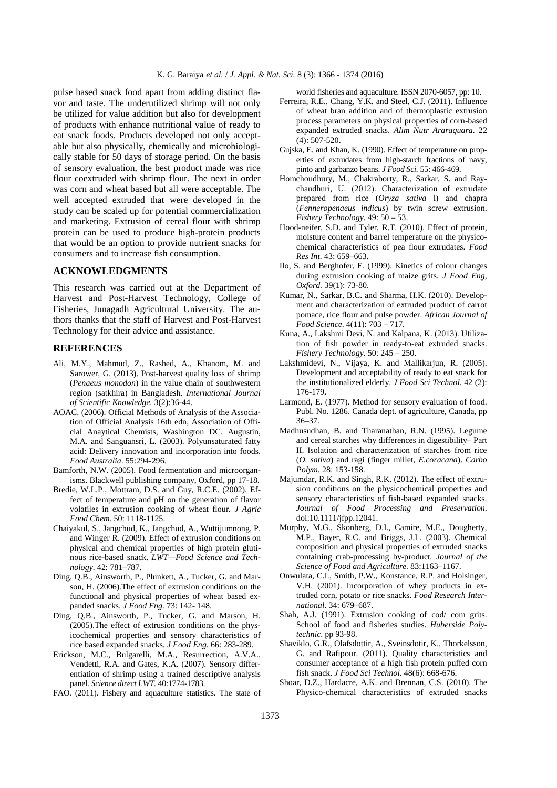pulse based snack food apart from adding distinct flavor and taste. The underutilized shrimp will not only be utilized for value addition but also for development of products with enhance nutritional value of ready to eat snack foods. Products developed not only acceptable but also physically, chemically and microbiologically stable for 50 days of storage period. On the basis of sensory evaluation, the best product made was rice flour coextruded with shrimp flour. The next in order was corn and wheat based but all were acceptable. The well accepted extruded that were developed in the study can be scaled up for potential commercialization and marketing. Extrusion of cereal flour with shrimp protein can be used to produce high-protein products that would be an option to provide nutrient snacks for consumers and to increase fish consumption.

#### **ACKNOWLEDGMENTS**

This research was carried out at the Department of Harvest and Post-Harvest Technology, College of Fisheries, Junagadh Agricultural University. The authors thanks that the staff of Harvest and Post-Harvest Technology for their advice and assistance.

#### **REFERENCES**

- Ali, M.Y., Mahmud, Z., Rashed, A., Khanom, M. and Sarower, G. (2013). Post-harvest quality loss of shrimp (*Penaeus monodon*) in the value chain of southwestern region (satkhira) in Bangladesh. *International Journal of Scientific Knowledge.* 3(2):36-44.
- AOAC. (2006). Official Methods of Analysis of the Association of Official Analysis 16th edn, Association of Official Anaytical Chemists, Washington DC. Augustin, M.A. and Sanguansri, L. (2003). Polyunsaturated fatty acid: Delivery innovation and incorporation into foods. *Food Australia*. 55:294-296.
- Bamforth, N.W. (2005). Food fermentation and microorganisms. Blackwell publishing company, Oxford, pp 17-18.
- Bredie, W.L.P., Mottram, D.S. and Guy, R.C.E. (2002). Effect of temperature and pH on the generation of flavor volatiles in extrusion cooking of wheat flour*. J Agric Food Chem.* 50: 1118-1125.
- Chaiyakul, S., Jangchud, K., Jangchud, A., Wuttijumnong, P. and Winger R. (2009). Effect of extrusion conditions on physical and chemical properties of high protein glutinous rice-based snack. *LWT—Food Science and Technology.* 42: 781–787.
- Ding, Q.B., Ainsworth, P., Plunkett, A., Tucker, G. and Marson, H. (2006).The effect of extrusion conditions on the functional and physical properties of wheat based expanded snacks. *J Food Eng.* 73: 142- 148.
- Ding, Q.B., Ainsworth, P., Tucker, G. and Marson, H. (2005).The effect of extrusion conditions on the physicochemical properties and sensory characteristics of rice based expanded snacks. *J Food Eng*. 66: 283-289.
- Erickson, M.C., Bulgarelli, M.A., Resurrection, A.V.A., Vendetti, R.A. and Gates, K.A. (2007). Sensory differentiation of shrimp using a trained descriptive analysis panel. *Science direct LWT.* 40:1774-1783.
- FAO. (2011). Fishery and aquaculture statistics. The state of

world fisheries and aquaculture. ISSN 2070-6057, pp: 10.

- Ferreira, R.E., Chang, Y.K. and Steel, C.J. (2011). Influence of wheat bran addition and of thermoplastic extrusion process parameters on physical properties of corn-based expanded extruded snacks. *Alim Nutr Araraquara.* 22 (4): 507-520.
- Gujska, E. and Khan, K. (1990). Effect of temperature on properties of extrudates from high-starch fractions of navy, pinto and garbanzo beans. *J Food Sci.* 55: 466-469.
- Homchoudhury, M., Chakraborty, R., Sarkar, S. and Raychaudhuri, U. (2012). Characterization of extrudate prepared from rice (*Oryza sativa* l) and chapra (*Fenneropenaeus indicus*) by twin screw extrusion. *Fishery Technology*. 49: 50 – 53.
- Hood-neifer, S.D. and Tyler, R.T. (2010). Effect of protein, moisture content and barrel temperature on the physicochemical characteristics of pea flour extrudates. *Food Res Int.* 43: 659–663.
- Ilo, S. and Berghofer, E. (1999). Kinetics of colour changes during extrusion cooking of maize grits. *J Food Eng, Oxford.* 39(1): 73-80.
- Kumar, N., Sarkar, B.C. and Sharma, H.K. (2010). Development and characterization of extruded product of carrot pomace, rice flour and pulse powder. *African Journal of Food Science*. 4(11): 703 – 717.
- Kuna, A., Lakshmi Devi, N. and Kalpana, K. (2013). Utilization of fish powder in ready-to-eat extruded snacks. *Fishery Technology.* 50: 245 – 250.
- Lakshmidevi, N., Vijaya, K. and Mallikarjun, R. (2005). Development and acceptability of ready to eat snack for the institutionalized elderly. *J Food Sci Technol*. 42 (2): 176-179.
- Larmond, E. (1977). Method for sensory evaluation of food. Publ. No. 1286. Canada dept. of agriculture, Canada, pp 36–37.
- Madhusudhan, B. and Tharanathan, R.N. (1995). Legume and cereal starches why differences in digestibility– Part II. Isolation and characterization of starches from rice (*O. sativa*) and ragi (finger millet, *E.coracana*). *Carbo Polym*. 28: 153-158.
- Majumdar, R.K. and Singh, R.K. (2012). The effect of extrusion conditions on the physicochemical properties and sensory characteristics of fish-based expanded snacks. *Journal of Food Processing and Preservation*. doi:10.1111/jfpp.12041.
- Murphy, M.G., Skonberg, D.I., Camire, M.E., Dougherty, M.P., Bayer, R.C. and Briggs, J.L. (2003). Chemical composition and physical properties of extruded snacks containing crab-processing by-product*. Journal of the Science of Food and Agriculture.* 83:1163–1167.
- Onwulata, C.I., Smith, P.W., Konstance, R.P. and Holsinger, V.H. (2001). Incorporation of whey products in extruded corn, potato or rice snacks. *Food Research International.* 34: 679–687.
- Shah, A.J. (1991). Extrusion cooking of cod/ com grits. School of food and fisheries studies. *Huberside Polytechnic*. pp 93-98.
- Shaviklo, G.R., Olafsdottir, A., Sveinsdotir, K., Thorkelsson, G. and Rafipour. (2011). Quality characteristics and consumer acceptance of a high fish protein puffed corn fish snack. *J Food Sci Technol.* 48(6): 668-676.
- Shoar, D.Z., Hardacre, A.K. and Brennan, C.S. (2010). The Physico-chemical characteristics of extruded snacks